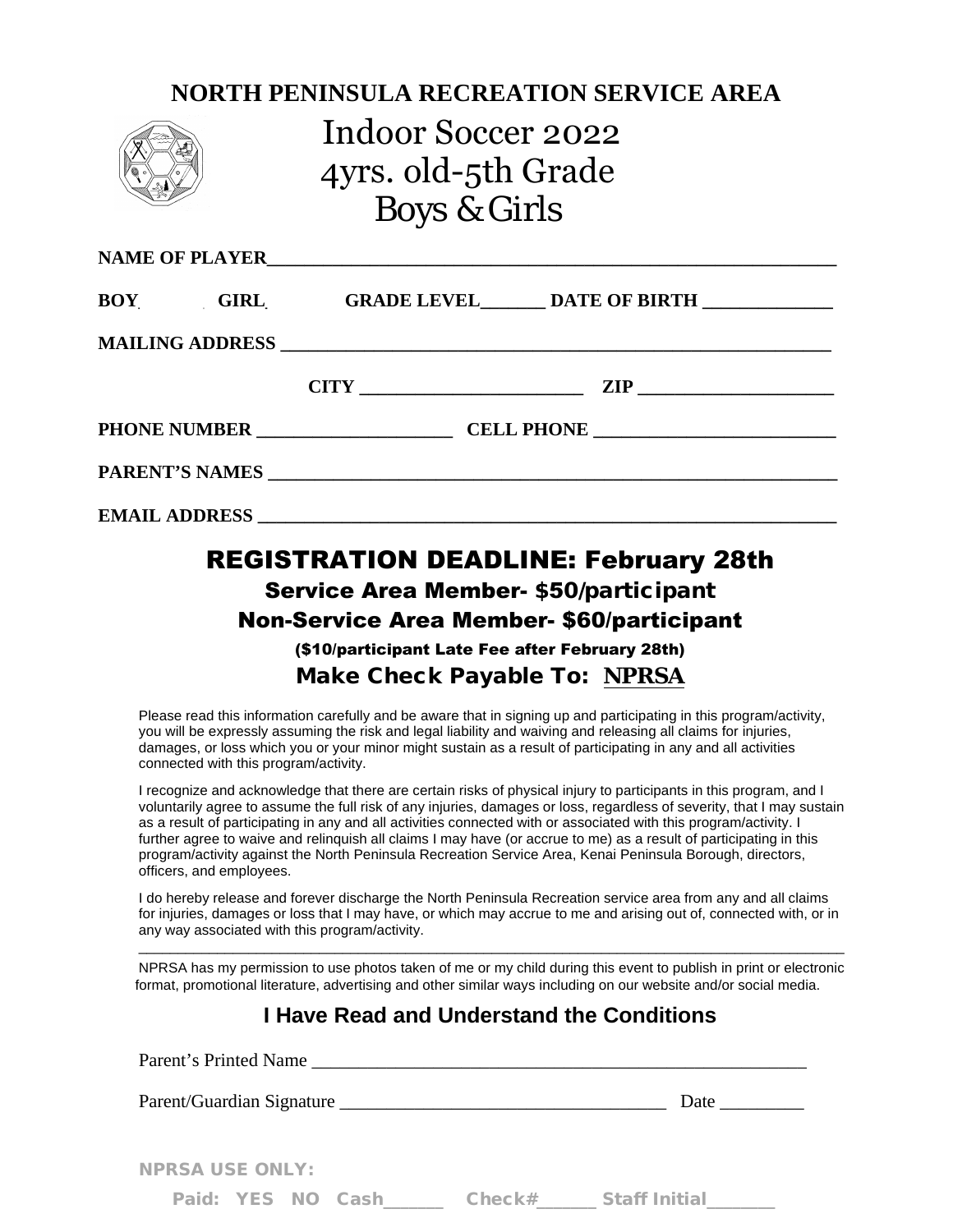|  | <b>NORTH PENINSULA RECREATION SERVICE AREA</b><br>Indoor Soccer 2022<br>4yrs. old-5th Grade<br><b>Boys &amp; Girls</b> |  |                                                                                             |  |  |  |
|--|------------------------------------------------------------------------------------------------------------------------|--|---------------------------------------------------------------------------------------------|--|--|--|
|  |                                                                                                                        |  |                                                                                             |  |  |  |
|  |                                                                                                                        |  | BOY GIRL GRADE LEVEL DATE OF BIRTH                                                          |  |  |  |
|  |                                                                                                                        |  |                                                                                             |  |  |  |
|  |                                                                                                                        |  | $CITY$ 2IP 22IP                                                                             |  |  |  |
|  |                                                                                                                        |  |                                                                                             |  |  |  |
|  |                                                                                                                        |  |                                                                                             |  |  |  |
|  |                                                                                                                        |  |                                                                                             |  |  |  |
|  |                                                                                                                        |  | <b>REGISTRATION DEADLINE: February 28th</b><br><b>Service Area Member- \$50/participant</b> |  |  |  |

# Non-Service Area Member- \$60/participant

(\$10/participant Late Fee after February 28th) Make Check Payable To: **NPRSA**

Please read this information carefully and be aware that in signing up and participating in this program/activity, you will be expressly assuming the risk and legal liability and waiving and releasing all claims for injuries, damages, or loss which you or your minor might sustain as a result of participating in any and all activities connected with this program/activity.

I recognize and acknowledge that there are certain risks of physical injury to participants in this program, and I voluntarily agree to assume the full risk of any injuries, damages or loss, regardless of severity, that I may sustain as a result of participating in any and all activities connected with or associated with this program/activity. I further agree to waive and relinquish all claims I may have (or accrue to me) as a result of participating in this program/activity against the North Peninsula Recreation Service Area, Kenai Peninsula Borough, directors, officers, and employees.

I do hereby release and forever discharge the North Peninsula Recreation service area from any and all claims for injuries, damages or loss that I may have, or which may accrue to me and arising out of, connected with, or in any way associated with this program/activity.

\_\_\_\_\_\_\_\_\_\_\_\_\_\_\_\_\_\_\_\_\_\_\_\_\_\_\_\_\_\_\_\_\_\_\_\_\_\_\_\_\_\_\_\_\_\_\_\_\_\_\_\_\_\_\_\_\_\_\_\_\_\_\_\_\_\_\_\_\_\_\_\_\_\_\_\_\_\_\_\_\_\_\_\_\_\_\_\_\_\_ NPRSA has my permission to use photos taken of me or my child during this event to publish in print or electronic format, promotional literature, advertising and other similar ways including on our website and/or social media.

## **I Have Read and Understand the Conditions**

| Parent's Printed Name  |  |  |                   |  |                      |  |  |  |  |  |
|------------------------|--|--|-------------------|--|----------------------|--|--|--|--|--|
|                        |  |  |                   |  | Date $\qquad \qquad$ |  |  |  |  |  |
| <b>NPRSA USE ONLY:</b> |  |  |                   |  |                      |  |  |  |  |  |
|                        |  |  | Paid: YES NO Cash |  |                      |  |  |  |  |  |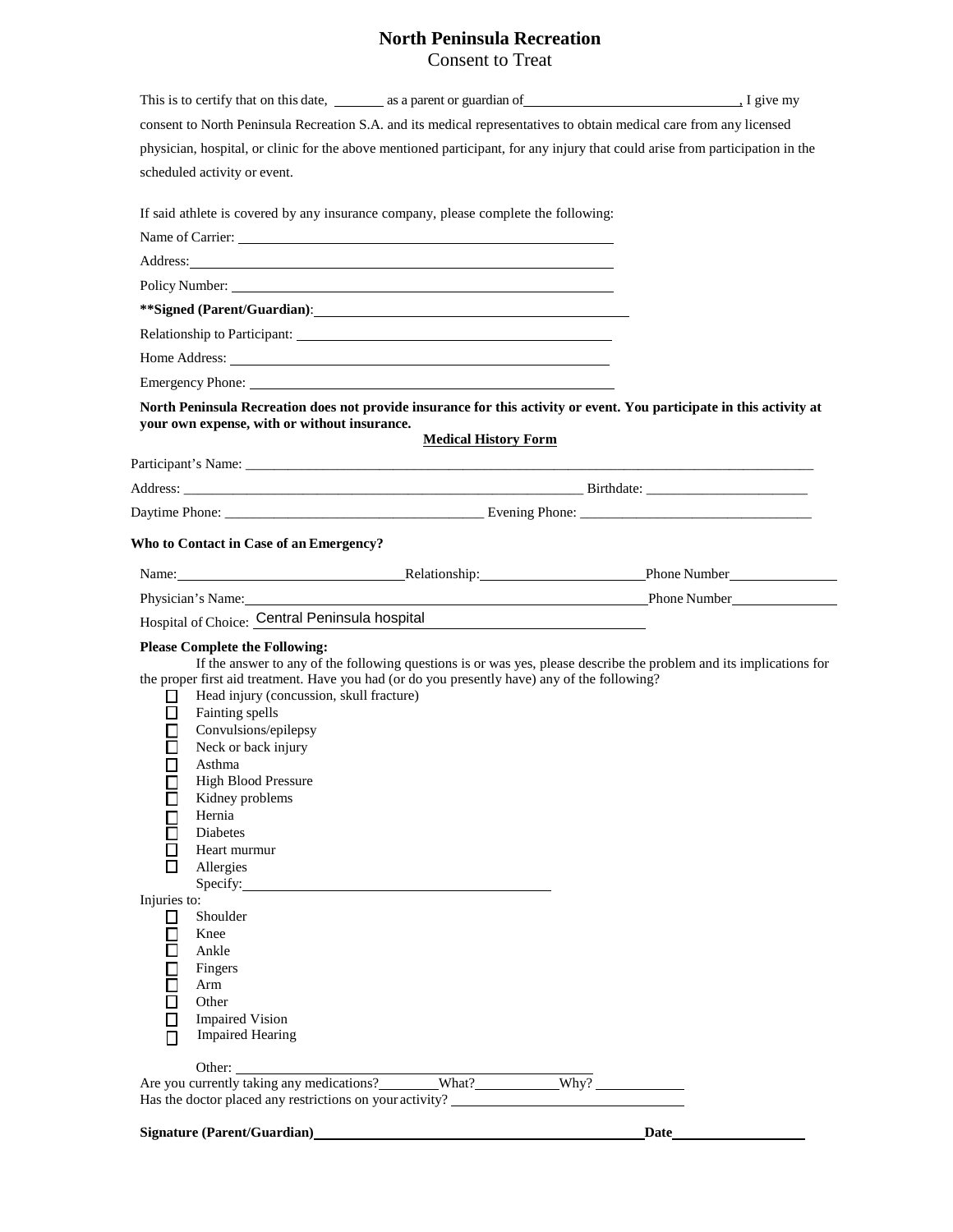#### **North Peninsula Recreation** Consent to Treat

|                                                                                                                                                                                                                                                                                                                                                                                                                 |                                                                                                                                                                                                                                     |                             | This is to certify that on this date, $\frac{1}{2}$ as a parent or guardian of $\frac{1}{2}$ $\frac{1}{2}$ give my                                                                                                             |
|-----------------------------------------------------------------------------------------------------------------------------------------------------------------------------------------------------------------------------------------------------------------------------------------------------------------------------------------------------------------------------------------------------------------|-------------------------------------------------------------------------------------------------------------------------------------------------------------------------------------------------------------------------------------|-----------------------------|--------------------------------------------------------------------------------------------------------------------------------------------------------------------------------------------------------------------------------|
|                                                                                                                                                                                                                                                                                                                                                                                                                 |                                                                                                                                                                                                                                     |                             | consent to North Peninsula Recreation S.A. and its medical representatives to obtain medical care from any licensed                                                                                                            |
|                                                                                                                                                                                                                                                                                                                                                                                                                 |                                                                                                                                                                                                                                     |                             | physician, hospital, or clinic for the above mentioned participant, for any injury that could arise from participation in the                                                                                                  |
| scheduled activity or event.                                                                                                                                                                                                                                                                                                                                                                                    |                                                                                                                                                                                                                                     |                             |                                                                                                                                                                                                                                |
|                                                                                                                                                                                                                                                                                                                                                                                                                 | If said athlete is covered by any insurance company, please complete the following:                                                                                                                                                 |                             |                                                                                                                                                                                                                                |
|                                                                                                                                                                                                                                                                                                                                                                                                                 | Name of Carrier:<br><u>Name</u> of Carrier:                                                                                                                                                                                         |                             |                                                                                                                                                                                                                                |
|                                                                                                                                                                                                                                                                                                                                                                                                                 | Address: <u>Address:</u> Address: Address: Address: Address: Address: Address: Address: Address: Address: Address: Address: Address: Address: Address: Address: Address: Address: Address: Address: Address: Address: Address: Addr |                             |                                                                                                                                                                                                                                |
|                                                                                                                                                                                                                                                                                                                                                                                                                 |                                                                                                                                                                                                                                     |                             |                                                                                                                                                                                                                                |
|                                                                                                                                                                                                                                                                                                                                                                                                                 | **Signed (Parent/Guardian):                                                                                                                                                                                                         |                             |                                                                                                                                                                                                                                |
|                                                                                                                                                                                                                                                                                                                                                                                                                 |                                                                                                                                                                                                                                     |                             |                                                                                                                                                                                                                                |
|                                                                                                                                                                                                                                                                                                                                                                                                                 |                                                                                                                                                                                                                                     |                             |                                                                                                                                                                                                                                |
|                                                                                                                                                                                                                                                                                                                                                                                                                 |                                                                                                                                                                                                                                     |                             |                                                                                                                                                                                                                                |
|                                                                                                                                                                                                                                                                                                                                                                                                                 | your own expense, with or without insurance.                                                                                                                                                                                        |                             | North Peninsula Recreation does not provide insurance for this activity or event. You participate in this activity at                                                                                                          |
|                                                                                                                                                                                                                                                                                                                                                                                                                 |                                                                                                                                                                                                                                     | <b>Medical History Form</b> |                                                                                                                                                                                                                                |
|                                                                                                                                                                                                                                                                                                                                                                                                                 |                                                                                                                                                                                                                                     |                             |                                                                                                                                                                                                                                |
|                                                                                                                                                                                                                                                                                                                                                                                                                 |                                                                                                                                                                                                                                     |                             | Address: Birthdate: Birthdate: Birthdate: Birthdate: Birthdate: Birthdate: Birthdate: Birthdate: Birthdate: Birthdate: Birthdate: Birthdate: Birthdate: Birthdate: Birthdate: Birthdate: Birthdate: Birthdate: Birthdate: Birt |
|                                                                                                                                                                                                                                                                                                                                                                                                                 |                                                                                                                                                                                                                                     |                             |                                                                                                                                                                                                                                |
| Who to Contact in Case of an Emergency?                                                                                                                                                                                                                                                                                                                                                                         |                                                                                                                                                                                                                                     |                             |                                                                                                                                                                                                                                |
|                                                                                                                                                                                                                                                                                                                                                                                                                 |                                                                                                                                                                                                                                     |                             | Name: Number Relationship: Name: Phone Number Phone Number Phone Number Phone Number Phone Number Phone Number                                                                                                                 |
|                                                                                                                                                                                                                                                                                                                                                                                                                 |                                                                                                                                                                                                                                     |                             | Physician's Name: Phone Number Phone Number Phone Number Phone Number Phone Number                                                                                                                                             |
|                                                                                                                                                                                                                                                                                                                                                                                                                 | Hospital of Choice: Central Peninsula hospital                                                                                                                                                                                      |                             |                                                                                                                                                                                                                                |
| <b>Please Complete the Following:</b><br>□<br>Fainting spells<br>Convulsions/epilepsy<br>Neck or back injury<br>$\Box$<br>Asthma<br><b>High Blood Pressure</b><br>□<br>Kidney problems<br>Hernia<br>Diabetes<br>Heart murmur<br>Allergies<br>Injuries to:<br>Shoulder<br>□<br>⊏<br>Knee<br>$\Box$<br>Ankle<br> <br> -<br>Fingers<br>Arm<br>E<br>Other<br>Е<br><b>Impaired Vision</b><br><b>Impaired Hearing</b> | the proper first aid treatment. Have you had (or do you presently have) any of the following?<br>Head injury (concussion, skull fracture)<br>$\text{Specify:}\n\qquad \qquad \qquad$                                                |                             | If the answer to any of the following questions is or was yes, please describe the problem and its implications for                                                                                                            |
| Other:                                                                                                                                                                                                                                                                                                                                                                                                          | Are you currently taking any medications? What? Why?                                                                                                                                                                                |                             |                                                                                                                                                                                                                                |
|                                                                                                                                                                                                                                                                                                                                                                                                                 | Has the doctor placed any restrictions on your activity? _______________________                                                                                                                                                    |                             |                                                                                                                                                                                                                                |
|                                                                                                                                                                                                                                                                                                                                                                                                                 | Signature (Parent/Guardian)<br><u>Signature</u> (Parent/Guardian)                                                                                                                                                                   |                             | Date                                                                                                                                                                                                                           |